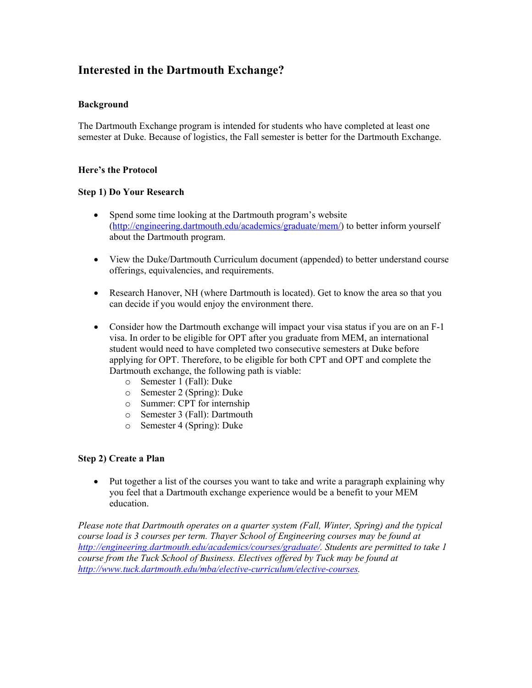# **Interested in the Dartmouth Exchange?**

### **Background**

The Dartmouth Exchange program is intended for students who have completed at least one semester at Duke. Because of logistics, the Fall semester is better for the Dartmouth Exchange.

### **Here's the Protocol**

### **Step 1) Do Your Research**

- Spend some time looking at the Dartmouth program's website [\(http://engineering.dartmouth.edu/academics/graduate/mem/\)](http://engineering.dartmouth.edu/academics/graduate/mem/) to better inform yourself about the Dartmouth program.
- View the Duke/Dartmouth Curriculum document (appended) to better understand course offerings, equivalencies, and requirements.
- Research Hanover, NH (where Dartmouth is located). Get to know the area so that you can decide if you would enjoy the environment there.
- Consider how the Dartmouth exchange will impact your visa status if you are on an F-1 visa. In order to be eligible for OPT after you graduate from MEM, an international student would need to have completed two consecutive semesters at Duke before applying for OPT. Therefore, to be eligible for both CPT and OPT and complete the Dartmouth exchange, the following path is viable:
	- o Semester 1 (Fall): Duke
	- o Semester 2 (Spring): Duke
	- o Summer: CPT for internship
	- o Semester 3 (Fall): Dartmouth
	- o Semester 4 (Spring): Duke

### **Step 2) Create a Plan**

• Put together a list of the courses you want to take and write a paragraph explaining why you feel that a Dartmouth exchange experience would be a benefit to your MEM education.

*Please note that Dartmouth operates on a quarter system (Fall, Winter, Spring) and the typical course load is 3 courses per term. Thayer School of Engineering courses may be found at [http://engineering.dartmouth.edu/academics/courses/graduate/.](http://engineering.dartmouth.edu/academics/courses/graduate/) Students are permitted to take 1 course from the Tuck School of Business. Electives offered by Tuck may be found at [http://www.tuck.dartmouth.edu/mba/elective-curriculum/elective-courses.](http://www.tuck.dartmouth.edu/mba/elective-curriculum/elective-courses)*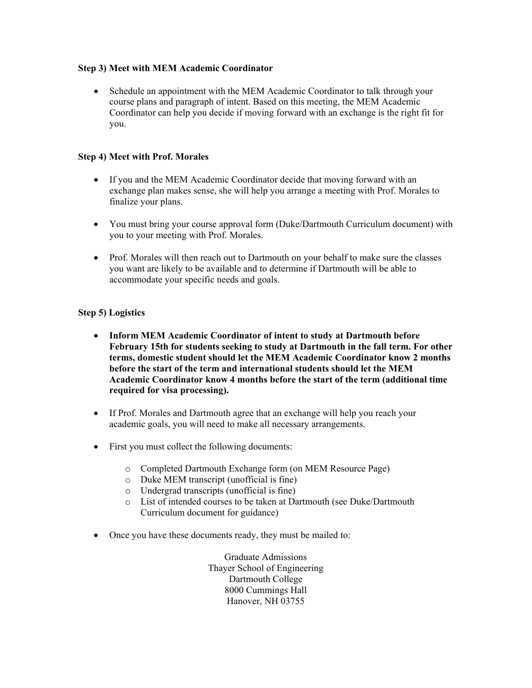### **Step 3) Meet with MEM Academic Coordinator**

• Schedule an appointment with the MEM Academic Coordinator to talk through your course plans and paragraph of intent. Based on this meeting, the MEM Academic Coordinator can help you decide if moving forward with an exchange is the right fit for you.

### **Step 4) Meet with Prof. Morales**

- If you and the MEM Academic Coordinator decide that moving forward with an exchange plan makes sense, she will help you arrange a meeting with Prof. Morales to finalize your plans.
- You must bring your course approval form (Duke/Dartmouth Curriculum document) with you to your meeting with Prof. Morales.
- Prof. Morales will then reach out to Dartmouth on your behalf to make sure the classes you want are likely to be available and to determine if Dartmouth will be able to accommodate your specific needs and goals.

### **Step 5) Logistics**

- **Inform MEM Academic Coordinator of intent to study at Dartmouth before February 15th for students seeking to study at Dartmouth in the fall term. For other terms, domestic student should let the MEM Academic Coordinator know 2 months before the start of the term and international students should let the MEM Academic Coordinator know 4 months before the start of the term (additional time required for visa processing).**
- If Prof. Morales and Dartmouth agree that an exchange will help you reach your academic goals, you will need to make all necessary arrangements.
- First you must collect the following documents:
	- o Completed Dartmouth Exchange form (on MEM Resource Page)
	- o Duke MEM transcript (unofficial is fine)
	- o Undergrad transcripts (unofficial is fine)
	- o List of intended courses to be taken at Dartmouth (see Duke/Dartmouth Curriculum document for guidance)
- Once you have these documents ready, they must be mailed to:

Graduate Admissions Thayer School of Engineering Dartmouth College 8000 Cummings Hall Hanover, NH 03755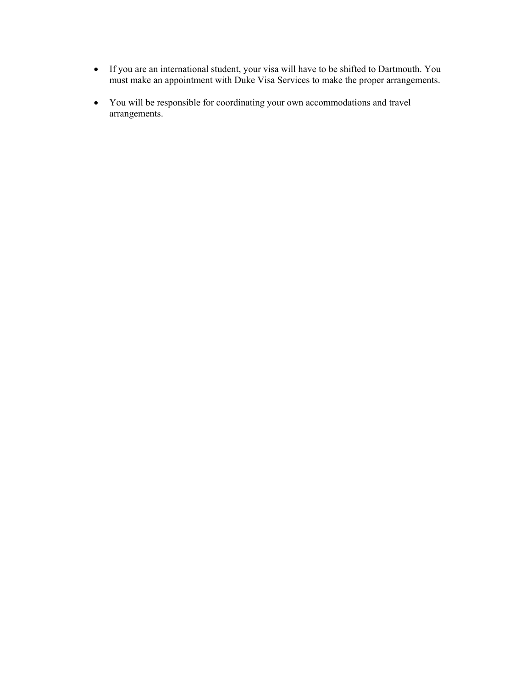- If you are an international student, your visa will have to be shifted to Dartmouth. You must make an appointment with Duke Visa Services to make the proper arrangements.
- You will be responsible for coordinating your own accommodations and travel arrangements.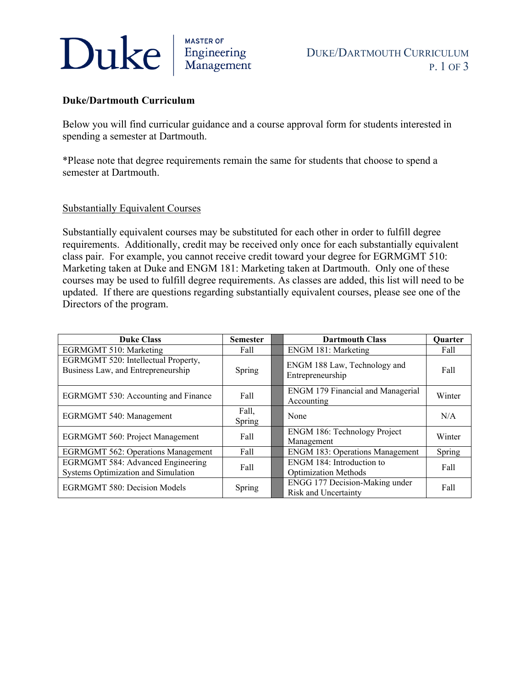# Duke

<sub>MASTER OF</sub><br>Engineering<br>Management

DUKE/DARTMOUTH CURRICULUM P. 1 OF 3

# **Duke/Dartmouth Curriculum**

Below you will find curricular guidance and a course approval form for students interested in spending a semester at Dartmouth.

\*Please note that degree requirements remain the same for students that choose to spend a semester at Dartmouth.

## Substantially Equivalent Courses

Substantially equivalent courses may be substituted for each other in order to fulfill degree requirements. Additionally, credit may be received only once for each substantially equivalent class pair. For example, you cannot receive credit toward your degree for EGRMGMT 510: Marketing taken at Duke and ENGM 181: Marketing taken at Dartmouth. Only one of these courses may be used to fulfill degree requirements. As classes are added, this list will need to be updated. If there are questions regarding substantially equivalent courses, please see one of the Directors of the program.

| <b>Duke Class</b>                                                               | <b>Semester</b> | <b>Dartmouth Class</b>                                   | <b>Ouarter</b> |
|---------------------------------------------------------------------------------|-----------------|----------------------------------------------------------|----------------|
| <b>EGRMGMT 510: Marketing</b>                                                   | Fall            | <b>ENGM 181: Marketing</b>                               | Fall           |
| EGRMGMT 520: Intellectual Property,<br>Business Law, and Entrepreneurship       | Spring          | ENGM 188 Law, Technology and<br>Entrepreneurship         | Fall           |
| EGRMGMT 530: Accounting and Finance                                             | Fall            | <b>ENGM 179 Financial and Managerial</b><br>Accounting   | Winter         |
| <b>EGRMGMT 540: Management</b>                                                  | Fall,<br>Spring | None                                                     | N/A            |
| <b>EGRMGMT 560: Project Management</b>                                          | Fall            | <b>ENGM 186: Technology Project</b><br>Management        | Winter         |
| <b>EGRMGMT 562: Operations Management</b>                                       | Fall            | <b>ENGM 183: Operations Management</b>                   | Spring         |
| <b>EGRMGMT 584: Advanced Engineering</b><br>Systems Optimization and Simulation | Fall            | ENGM 184: Introduction to<br><b>Optimization Methods</b> | Fall           |
| <b>EGRMGMT 580: Decision Models</b>                                             | Spring          | ENGG 177 Decision-Making under<br>Risk and Uncertainty   | Fall           |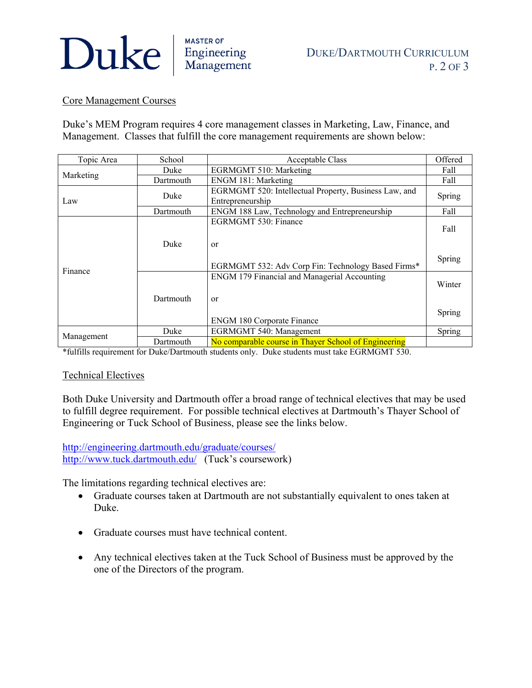# Duke **Engineering**

# Core Management Courses

Duke's MEM Program requires 4 core management classes in Marketing, Law, Finance, and Management. Classes that fulfill the core management requirements are shown below:

| Topic Area            | School    | Acceptable Class                                      | Offered |  |
|-----------------------|-----------|-------------------------------------------------------|---------|--|
| Marketing             | Duke      | <b>EGRMGMT 510: Marketing</b>                         | Fall    |  |
|                       | Dartmouth | ENGM 181: Marketing                                   | Fall    |  |
| Law                   | Duke      | EGRMGMT 520: Intellectual Property, Business Law, and | Spring  |  |
|                       |           | Entrepreneurship                                      |         |  |
|                       | Dartmouth | ENGM 188 Law, Technology and Entrepreneurship         | Fall    |  |
| Finance<br>Management |           | EGRMGMT 530: Finance                                  |         |  |
|                       | Duke      |                                                       | Fall    |  |
|                       |           | or                                                    |         |  |
|                       |           |                                                       |         |  |
|                       |           | EGRMGMT 532: Adv Corp Fin: Technology Based Firms*    | Spring  |  |
|                       |           | ENGM 179 Financial and Managerial Accounting          |         |  |
|                       | Dartmouth |                                                       | Winter  |  |
|                       |           | or                                                    |         |  |
|                       |           |                                                       |         |  |
|                       |           | <b>ENGM 180 Corporate Finance</b>                     | Spring  |  |
|                       | Duke      |                                                       |         |  |
|                       |           | <b>EGRMGMT 540: Management</b>                        | Spring  |  |
|                       | Dartmouth | No comparable course in Thayer School of Engineering  |         |  |

\*fulfills requirement for Duke/Dartmouth students only. Duke students must take EGRMGMT 530.

# Technical Electives

Both Duke University and Dartmouth offer a broad range of technical electives that may be used to fulfill degree requirement. For possible technical electives at Dartmouth's Thayer School of Engineering or Tuck School of Business, please see the links below.

<http://engineering.dartmouth.edu/graduate/courses/> <http://www.tuck.dartmouth.edu/> (Tuck's coursework)

The limitations regarding technical electives are:

- Graduate courses taken at Dartmouth are not substantially equivalent to ones taken at Duke.
- Graduate courses must have technical content.
- Any technical electives taken at the Tuck School of Business must be approved by the one of the Directors of the program.